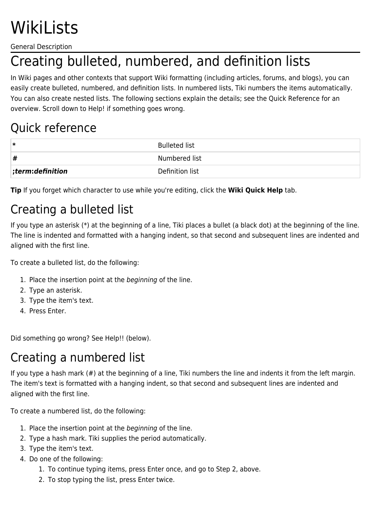# WikiLists

General Description

# Creating bulleted, numbered, and definition lists

In Wiki pages and other contexts that support Wiki formatting (including articles, forums, and blogs), you can easily create bulleted, numbered, and definition lists. In numbered lists, Tiki numbers the items automatically. You can also create nested lists. The following sections explain the details; see the Quick Reference for an overview. Scroll down to Help! if something goes wrong.

#### Quick reference

| ∗                    | <b>Bulleted list</b> |
|----------------------|----------------------|
| #                    | Numbered list        |
| $ $ ;term:definition | Definition list      |

**Tip** If you forget which character to use while you're editing, click the **Wiki Quick Help** tab.

### Creating a bulleted list

If you type an asterisk (\*) at the beginning of a line, Tiki places a bullet (a black dot) at the beginning of the line. The line is indented and formatted with a hanging indent, so that second and subsequent lines are indented and aligned with the first line.

To create a bulleted list, do the following:

- 1. Place the insertion point at the beginning of the line.
- 2. Type an asterisk.
- 3. Type the item's text.
- 4. Press Enter.

Did something go wrong? See Help!! (below).

#### Creating a numbered list

If you type a hash mark (#) at the beginning of a line, Tiki numbers the line and indents it from the left margin. The item's text is formatted with a hanging indent, so that second and subsequent lines are indented and aligned with the first line.

To create a numbered list, do the following:

- 1. Place the insertion point at the beginning of the line.
- 2. Type a hash mark. Tiki supplies the period automatically.
- 3. Type the item's text.
- 4. Do one of the following:
	- 1. To continue typing items, press Enter once, and go to Step 2, above.
	- 2. To stop typing the list, press Enter twice.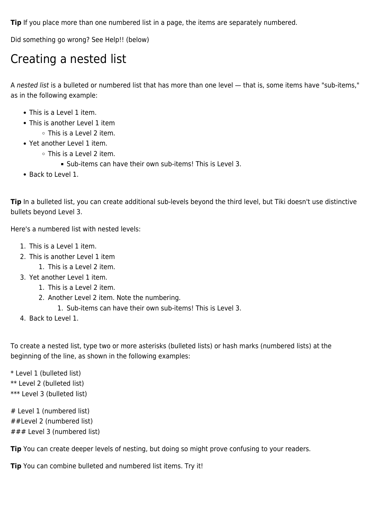**Tip** If you place more than one numbered list in a page, the items are separately numbered.

Did something go wrong? See Help!! (below)

#### Creating a nested list

A nested list is a bulleted or numbered list that has more than one level — that is, some items have "sub-items," as in the following example:

- This is a Level 1 item.
- This is another Level 1 item
	- This is a Level 2 item.
- Yet another Level 1 item.
	- This is a Level 2 item.
		- Sub-items can have their own sub-items! This is Level 3.
- Back to Level 1.

Tip In a bulleted list, you can create additional sub-levels beyond the third level, but Tiki doesn't use distinctive bullets beyond Level 3.

Here's a numbered list with nested levels:

- 1. This is a Level 1 item.
- 2. This is another Level 1 item
	- 1. This is a Level 2 item.
- 3. Yet another Level 1 item.
	- 1. This is a Level 2 item.
	- 2. Another Level 2 item. Note the numbering.
		- 1. Sub-items can have their own sub-items! This is Level 3.
- 4. Back to Level 1.

To create a nested list, type two or more asterisks (bulleted lists) or hash marks (numbered lists) at the beginning of the line, as shown in the following examples:

\* Level 1 (bulleted list) \*\* Level 2 (bulleted list) \*\*\* Level 3 (bulleted list)

# Level 1 (numbered list) ##Level 2 (numbered list) ### Level 3 (numbered list)

**Tip** You can create deeper levels of nesting, but doing so might prove confusing to your readers.

**Tip** You can combine bulleted and numbered list items. Try it!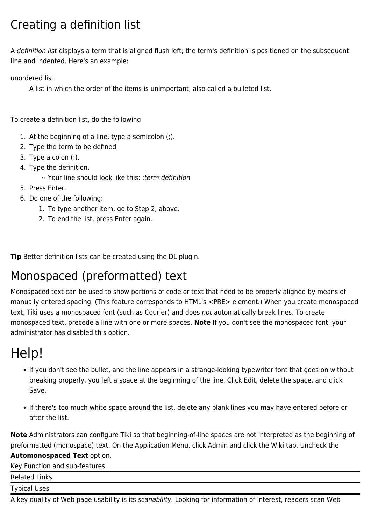### Creating a definition list

A definition list displays a term that is aligned flush left; the term's definition is positioned on the subsequent line and indented. Here's an example:

unordered list

A list in which the order of the items is unimportant; also called a bulleted list.

To create a definition list, do the following:

- 1. At the beginning of a line, type a semicolon (;).
- 2. Type the term to be defined.
- 3. Type a colon (:).
- 4. Type the definition.
	- Your line should look like this: ;term:definition
- 5. Press Enter.
- 6. Do one of the following:
	- 1. To type another item, go to Step 2, above.
	- 2. To end the list, press Enter again.

**Tip** Better definition lists can be created using the DL plugin.

#### Monospaced (preformatted) text

Monospaced text can be used to show portions of code or text that need to be properly aligned by means of manually entered spacing. (This feature corresponds to HTML's <PRE> element.) When you create monospaced text, Tiki uses a monospaced font (such as Courier) and does not automatically break lines. To create monospaced text, precede a line with one or more spaces. **Note** If you don't see the monospaced font, your administrator has disabled this option.

## Help!

- If you don't see the bullet, and the line appears in a strange-looking typewriter font that goes on without breaking properly, you left a space at the beginning of the line. Click Edit, delete the space, and click Save.
- If there's too much white space around the list, delete any blank lines you may have entered before or after the list.

**Note** Administrators can configure Tiki so that beginning-of-line spaces are not interpreted as the beginning of preformatted (monospace) text. On the Application Menu, click Admin and click the Wiki tab. Uncheck the

#### **Automonospaced Text** option.

Key Function and sub-features

Related Links Typical Uses

A key quality of Web page usability is its scanability. Looking for information of interest, readers scan Web